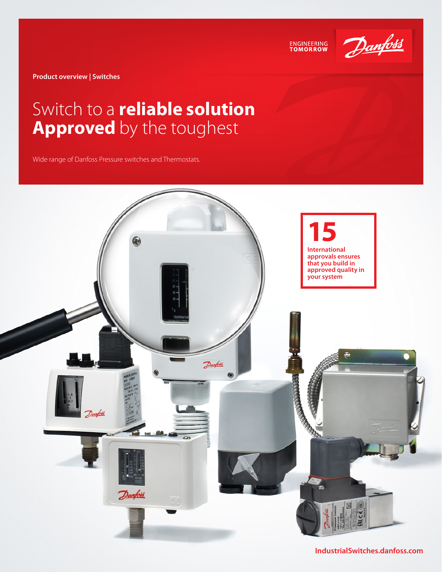ENGINEERING<br>TOMORROW



**Product overview | Switches** 

## Switch to a **reliable solution Approved** by the toughest

Wide range of Danfoss Pressure switches and Thermostats.



**IndustrialSwitches.danfoss.com**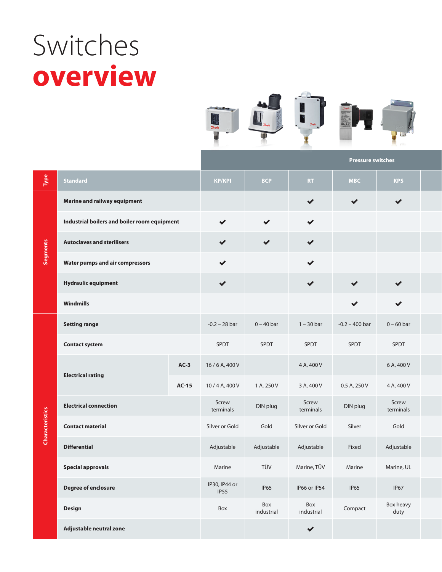# Switches **overview**



|                        |                                              |              |                       |                   |                      | <b>Pressure switches</b> |                      |  |
|------------------------|----------------------------------------------|--------------|-----------------------|-------------------|----------------------|--------------------------|----------------------|--|
| Type                   | <b>Standard</b>                              |              | <b>KP/KPI</b>         | <b>BCP</b>        | RT                   | <b>MBC</b>               | <b>KPS</b>           |  |
| Segments               | Marine and railway equipment                 |              |                       |                   | $\checkmark$         | $\checkmark$             | $\blacktriangledown$ |  |
|                        | Industrial boilers and boiler room equipment |              | $\checkmark$          | $\checkmark$      | $\checkmark$         |                          |                      |  |
|                        | <b>Autoclaves and sterilisers</b>            |              | $\checkmark$          | $\checkmark$      | $\blacktriangledown$ |                          |                      |  |
|                        | <b>Water pumps and air compressors</b>       |              | $\checkmark$          |                   | $\checkmark$         |                          |                      |  |
|                        | <b>Hydraulic equipment</b>                   |              | $\checkmark$          |                   | $\blacktriangledown$ | $\checkmark$             | $\blacktriangledown$ |  |
|                        | <b>Windmills</b>                             |              |                       |                   |                      | $\checkmark$             | $\checkmark$         |  |
| <b>Characteristics</b> | <b>Setting range</b>                         |              | $-0.2 - 28$ bar       | $0 - 40$ bar      | $1 - 30$ bar         | $-0.2 - 400$ bar         | $0 - 60$ bar         |  |
|                        | <b>Contact system</b>                        |              | SPDT                  | SPDT              | SPDT                 | SPDT                     | SPDT                 |  |
|                        | <b>Electrical rating</b>                     | $AC-3$       | 16/6A, 400V           |                   | 4 A, 400 V           |                          | 6 A, 400 V           |  |
|                        |                                              | <b>AC-15</b> | 10/4A, 400V           | 1 A, 250 V        | 3 A, 400 V           | 0.5 A, 250 V             | 4 A, 400 V           |  |
|                        | <b>Electrical connection</b>                 |              | Screw<br>terminals    | DIN plug          | Screw<br>terminals   | DIN plug                 | Screw<br>terminals   |  |
|                        | <b>Contact material</b>                      |              | Silver or Gold        | Gold              | Silver or Gold       | Silver                   | Gold                 |  |
|                        | <b>Differential</b>                          |              | Adjustable            | Adjustable        | Adjustable           | Fixed                    | Adjustable           |  |
|                        | <b>Special approvals</b>                     |              | Marine                | TÜV               | Marine, TÜV          | Marine                   | Marine, UL           |  |
|                        | <b>Degree of enclosure</b>                   |              | IP30, IP44 or<br>IP55 | <b>IP65</b>       | IP66 or IP54         | <b>IP65</b>              | IP67                 |  |
|                        | Design                                       |              | Box                   | Box<br>industrial | Box<br>industrial    | Compact                  | Box heavy<br>duty    |  |
|                        | Adjustable neutral zone                      |              |                       |                   | $\blacktriangledown$ |                          |                      |  |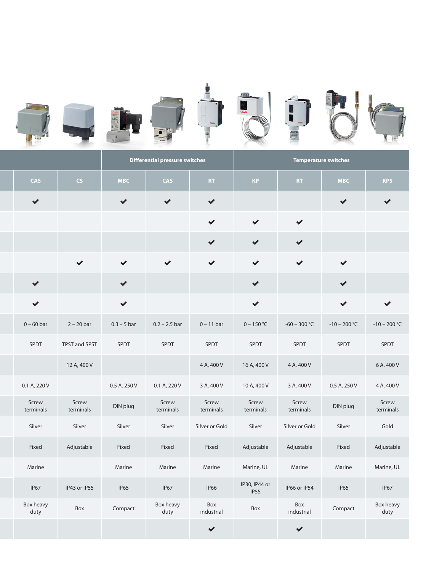

|  |                      |                    | Differential pressure switches |                    |                      | <b>Temperature switches</b> |                      |                |                    |  |
|--|----------------------|--------------------|--------------------------------|--------------------|----------------------|-----------------------------|----------------------|----------------|--------------------|--|
|  | <b>CAS</b>           | CS                 | <b>MBC</b>                     | <b>CAS</b>         | RT                   | KP                          | RT                   | <b>MBC</b>     | <b>KPS</b>         |  |
|  | $\blacktriangledown$ |                    | $\checkmark$                   | $\checkmark$       | $\checkmark$         |                             |                      | $\checkmark$   | $\checkmark$       |  |
|  |                      |                    |                                |                    | $\checkmark$         | $\checkmark$                | $\checkmark$         |                |                    |  |
|  |                      |                    |                                |                    | $\checkmark$         | $\checkmark$                | $\blacktriangledown$ |                |                    |  |
|  |                      | $\checkmark$       | $\checkmark$                   | $\checkmark$       | $\checkmark$         | $\checkmark$                | $\checkmark$         | $\checkmark$   |                    |  |
|  | $\checkmark$         |                    | $\blacktriangledown$           |                    |                      | $\blacktriangledown$        |                      | $\checkmark$   |                    |  |
|  | $\checkmark$         |                    | $\checkmark$                   |                    |                      | $\checkmark$                |                      | $\checkmark$   | $\checkmark$       |  |
|  | $0 - 60$ bar         | $2 - 20$ bar       | $0.3 - 5$ bar                  | $0.2 - 2.5$ bar    | $0 - 11$ bar         | $0 - 150 °C$                | $-60 - 300 °C$       | $-10-200 °C$   | $-10 - 200 °C$     |  |
|  | SPDT                 | TPST and SPST      | SPDT                           | SPDT               | SPDT                 | SPDT                        | SPDT                 | SPDT           | SPDT               |  |
|  |                      | 12 A, 400 V        |                                |                    | 4 A, 400 V           | 16 A, 400 V                 | 4 A, 400 V           |                | 6 A, 400 V         |  |
|  | 0.1 A, 220 V         |                    | 0.5 A, 250 V                   | 0.1 A, 220 V       | 3 A, 400 V           | 10 A, 400 V                 | 3 A, 400 V           | $0.5$ A, 250 V | 4 A, 400 V         |  |
|  | Screw<br>terminals   | Screw<br>terminals | DIN plug                       | Screw<br>terminals | Screw<br>terminals   | Screw<br>terminals          | Screw<br>terminals   | DIN plug       | Screw<br>terminals |  |
|  | Silver               | Silver             | Silver                         | Silver             | Silver or Gold       | Silver                      | Silver or Gold       | Silver         | Gold               |  |
|  | Fixed                | Adjustable         | Fixed                          | Fixed              | Fixed                | Adjustable                  | Adjustable           | Fixed          | Adjustable         |  |
|  | Marine               |                    | Marine                         | Marine             | Marine               | Marine, UL                  | Marine               | Marine         | Marine, UL         |  |
|  | IP67                 | IP43 or IP55       | IP65                           | IP67               | <b>IP66</b>          | IP30, IP44 or<br>IP55       | IP66 or IP54         | <b>IP65</b>    | IP67               |  |
|  | Box heavy<br>duty    | Box                | Compact                        | Box heavy<br>duty  | Box<br>industrial    | Box                         | Box<br>industrial    | Compact        | Box heavy<br>duty  |  |
|  |                      |                    |                                |                    | $\blacktriangledown$ |                             | $\blacktriangledown$ |                |                    |  |